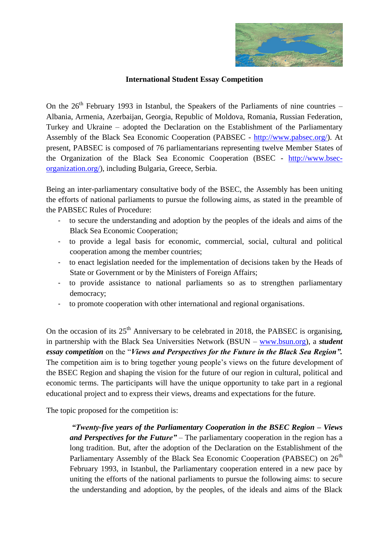

## **International Student Essay Competition**

On the  $26<sup>th</sup>$  February 1993 in Istanbul, the Speakers of the Parliaments of nine countries – Albania, Armenia, Azerbaijan, Georgia, Republic of Moldova, Romania, Russian Federation, Turkey and Ukraine – adopted the Declaration on the Establishment of the Parliamentary Assembly of the Black Sea Economic Cooperation (PABSEC - [http://www.pabsec.org/\)](http://www.pabsec.org/). At present, PABSEC is composed of 76 parliamentarians representing twelve Member States of the Organization of the Black Sea Economic Cooperation (BSEC - [http://www.bsec](http://www.bsec-organization.org/)[organization.org/\)](http://www.bsec-organization.org/), including Bulgaria, Greece, Serbia.

Being an inter-parliamentary consultative body of the BSEC, the Assembly has been uniting the efforts of national parliaments to pursue the following aims, as stated in the preamble of the PABSEC Rules of Procedure:

- to secure the understanding and adoption by the peoples of the ideals and aims of the Black Sea Economic Cooperation;
- to provide a legal basis for economic, commercial, social, cultural and political cooperation among the member countries;
- to enact legislation needed for the implementation of decisions taken by the Heads of State or Government or by the Ministers of Foreign Affairs;
- to provide assistance to national parliaments so as to strengthen parliamentary democracy;
- to promote cooperation with other international and regional organisations.

On the occasion of its  $25<sup>th</sup>$  Anniversary to be celebrated in 2018, the PABSEC is organising, in partnership with the Black Sea Universities Network (BSUN – [www.bsun.org\)](http://www.bsun.org/), a *student essay competition* on the "*Views and Perspectives for the Future in the Black Sea Region".* The competition aim is to bring together young people's views on the future development of the BSEC Region and shaping the vision for the future of our region in cultural, political and economic terms. The participants will have the unique opportunity to take part in a regional educational project and to express their views, dreams and expectations for the future.

The topic proposed for the competition is:

*"Twenty-five years of the Parliamentary Cooperation in the BSEC Region – Views and Perspectives for the Future"* – The parliamentary cooperation in the region has a long tradition. But, after the adoption of the Declaration on the Establishment of the Parliamentary Assembly of the Black Sea Economic Cooperation (PABSEC) on 26<sup>th</sup> February 1993, in Istanbul, the Parliamentary cooperation entered in a new pace by uniting the efforts of the national parliaments to pursue the following aims: to secure the understanding and adoption, by the peoples, of the ideals and aims of the Black